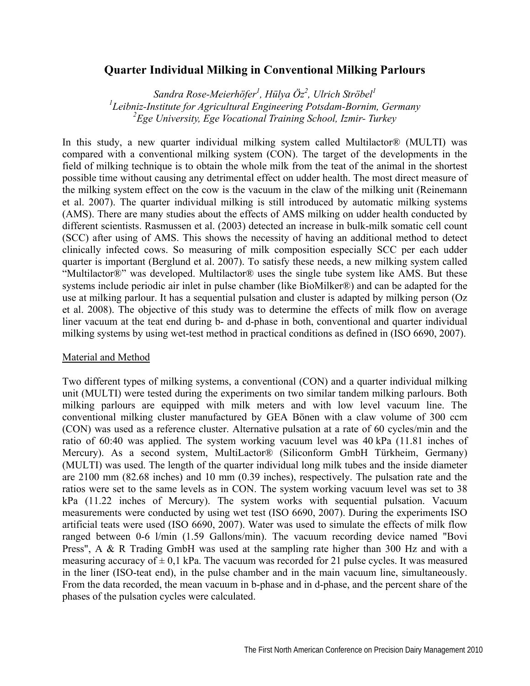## **Quarter Individual Milking in Conventional Milking Parlours**

*Sandra Rose-Meierhöfer<sup>1</sup>, Hülya Öz<sup>2</sup>, Ulrich Ströbel<sup>1</sup>*<br><sup>*1</sup></sub><i>I* cihniz Institute for Agricultural Engineering Botedam Bornim</sup> *Leibniz-Institute for Agricultural Engineering Potsdam-Bornim, Germany 2 Ege University, Ege Vocational Training School, Izmir- Turkey* 

In this study, a new quarter individual milking system called Multilactor® (MULTI) was compared with a conventional milking system (CON). The target of the developments in the field of milking technique is to obtain the whole milk from the teat of the animal in the shortest possible time without causing any detrimental effect on udder health. The most direct measure of the milking system effect on the cow is the vacuum in the claw of the milking unit (Reinemann et al. 2007). The quarter individual milking is still introduced by automatic milking systems (AMS). There are many studies about the effects of AMS milking on udder health conducted by different scientists. Rasmussen et al. (2003) detected an increase in bulk-milk somatic cell count (SCC) after using of AMS. This shows the necessity of having an additional method to detect clinically infected cows. So measuring of milk composition especially SCC per each udder quarter is important (Berglund et al. 2007). To satisfy these needs, a new milking system called "Multilactor®" was developed. Multilactor® uses the single tube system like AMS. But these systems include periodic air inlet in pulse chamber (like BioMilker®) and can be adapted for the use at milking parlour. It has a sequential pulsation and cluster is adapted by milking person (Oz et al. 2008). The objective of this study was to determine the effects of milk flow on average liner vacuum at the teat end during b- and d-phase in both, conventional and quarter individual milking systems by using wet-test method in practical conditions as defined in (ISO 6690, 2007).

## Material and Method

Two different types of milking systems, a conventional (CON) and a quarter individual milking unit (MULTI) were tested during the experiments on two similar tandem milking parlours. Both milking parlours are equipped with milk meters and with low level vacuum line. The conventional milking cluster manufactured by GEA Bönen with a claw volume of 300 ccm (CON) was used as a reference cluster. Alternative pulsation at a rate of 60 cycles/min and the ratio of 60:40 was applied. The system working vacuum level was 40 kPa (11.81 inches of Mercury). As a second system, MultiLactor® (Siliconform GmbH Türkheim, Germany) (MULTI) was used. The length of the quarter individual long milk tubes and the inside diameter are 2100 mm (82.68 inches) and 10 mm (0.39 inches), respectively. The pulsation rate and the ratios were set to the same levels as in CON. The system working vacuum level was set to 38 kPa (11.22 inches of Mercury). The system works with sequential pulsation. Vacuum measurements were conducted by using wet test (ISO 6690, 2007). During the experiments ISO artificial teats were used (ISO 6690, 2007). Water was used to simulate the effects of milk flow ranged between 0-6 l/min (1.59 Gallons/min). The vacuum recording device named "Bovi Press", A & R Trading GmbH was used at the sampling rate higher than 300 Hz and with a measuring accuracy of  $\pm$  0,1 kPa. The vacuum was recorded for 21 pulse cycles. It was measured in the liner (ISO-teat end), in the pulse chamber and in the main vacuum line, simultaneously. From the data recorded, the mean vacuum in b-phase and in d-phase, and the percent share of the phases of the pulsation cycles were calculated.